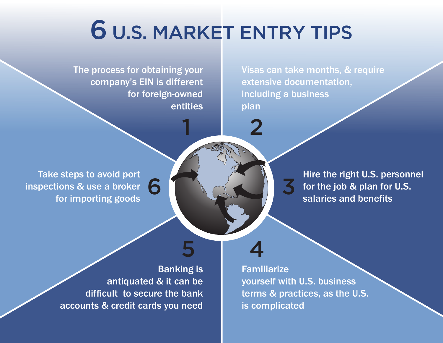# 6 U.S. MARKET ENTRY TIPS

5 4

1

The process for obtaining your company's EIN is different for foreign-owned entities

6

Visas can take months, & require extensive documentation, including a business plan

Take steps to avoid port inspections & use a broker for importing goods

Hire the right U.S. personnel for the job & plan for U.S. salaries and benefits

Banking is antiquated & it can be difficult to secure the bank accounts & credit cards you need

**Familiarize** yourself with U.S. business terms & practices, as the U.S. is complicated

3

2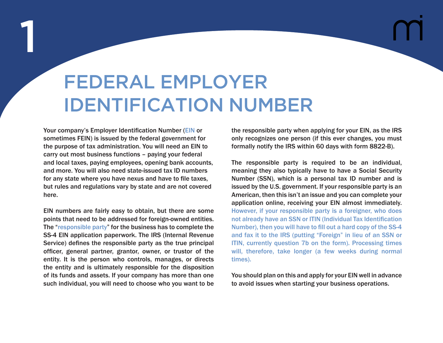#### FEDERAL EMPLOYER IDENTIFICATION NUMBER

Your company's Employer Identification Number (EIN or sometimes FEIN) is issued by the federal government for the purpose of tax administration. You will need an EIN to carry out most business functions – paying your federal and local taxes, paying employees, opening bank accounts, and more. You will also need state-issued tax ID numbers for any state where you have nexus and have to file taxes, but rules and regulations vary by state and are not covered here.

1

EIN numbers are fairly easy to obtain, but there are some points that need to be addressed for foreign-owned entities. The "responsible party" for the business has to complete the SS-4 EIN application paperwork. The IRS (Internal Revenue Service) defines the responsible party as the true principal officer, general partner, grantor, owner, or trustor of the entity. It is the person who controls, manages, or directs the entity and is ultimately responsible for the disposition of its funds and assets. If your company has more than one such individual, you will need to choose who you want to be

the responsible party when applying for your EIN, as the IRS only recognizes one person (if this ever changes, you must formally notify the IRS within 60 days with form 8822-B).

The responsible party is required to be an individual, meaning they also typically have to have a Social Security Number (SSN), which is a personal tax ID number and is issued by the U.S. government. If your responsible party is an American, then this isn't an issue and you can complete your application online, receiving your EIN almost immediately. However, if your responsible party is a foreigner, who does not already have an SSN or ITIN (Individual Tax Identification Number), then you will have to fill out a hard copy of the SS-4 and fax it to the IRS (putting "Foreign" in lieu of an SSN or ITIN, currently question 7b on the form). Processing times will, therefore, take longer (a few weeks during normal times).

You should plan on this and apply for your EIN well in advance to avoid issues when starting your business operations.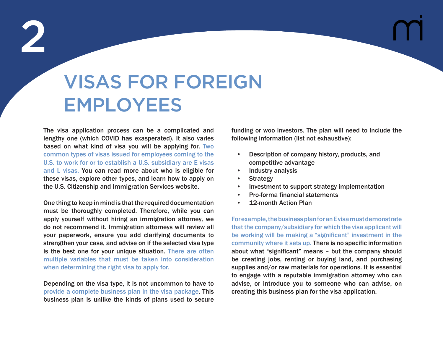## VISAS FOR FOREIGN EMPLOYEES

The visa application process can be a complicated and lengthy one (which COVID has exasperated). It also varies based on what kind of visa you will be applying for. Two common types of visas issued for employees coming to the U.S. to work for or to establish a U.S. subsidiary are E visas and L visas. You can read more about who is eligible for these visas, explore other types, and learn how to apply on the U.S. Citizenship and Immigration Services website.

One thing to keep in mind is that the required documentation must be thoroughly completed. Therefore, while you can apply yourself without hiring an immigration attorney, we do not recommend it. Immigration attorneys will review all your paperwork, ensure you add clarifying documents to strengthen your case, and advise on if the selected visa type is the best one for your unique situation. There are often multiple variables that must be taken into consideration when determining the right visa to apply for.

Depending on the visa type, it is not uncommon to have to provide a complete business plan in the visa package. This business plan is unlike the kinds of plans used to secure funding or woo investors. The plan will need to include the following information (list not exhaustive):

- Description of company history, products, and competitive advantage
- Industry analysis
- **Strategy**
- Investment to support strategy implementation
- Pro-forma financial statements
- 12-month Action Plan

For example, the business plan for an E visa must demonstrate that the company/subsidiary for which the visa applicant will be working will be making a "significant" investment in the community where it sets up. There is no specific information about what "significant" means – but the company should be creating jobs, renting or buying land, and purchasing supplies and/or raw materials for operations. It is essential to engage with a reputable immigration attorney who can advise, or introduce you to someone who can advise, on creating this business plan for the visa application.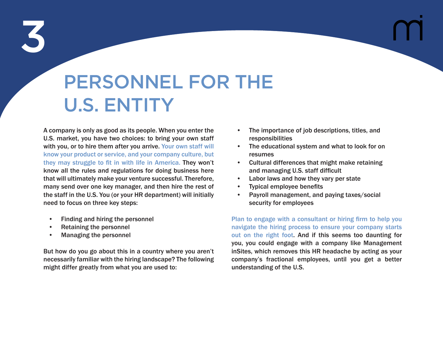### PERSONNEL FOR THE U.S. ENTITY

A company is only as good as its people. When you enter the U.S. market, you have two choices: to bring your own staff with you, or to hire them after you arrive. Your own staff will know your product or service, and your company culture, but they may struggle to fit in with life in America. They won't know all the rules and regulations for doing business here that will ultimately make your venture successful. Therefore, many send over one key manager, and then hire the rest of the staff in the U.S. You (or your HR department) will initially need to focus on three key steps:

- Finding and hiring the personnel
- Retaining the personnel
- Managing the personnel

But how do you go about this in a country where you aren't necessarily familiar with the hiring landscape? The following might differ greatly from what you are used to:

- The importance of job descriptions, titles, and responsibilities
- The educational system and what to look for on resumes
- Cultural differences that might make retaining and managing U.S. staff difficult
- Labor laws and how they vary per state
- Typical employee benefits
- Payroll management, and paying taxes/social security for employees

Plan to engage with a consultant or hiring firm to help you navigate the hiring process to ensure your company starts out on the right foot. And if this seems too daunting for you, you could engage with a company like Management inSites, which removes this HR headache by acting as your company's fractional employees, until you get a better understanding of the U.S.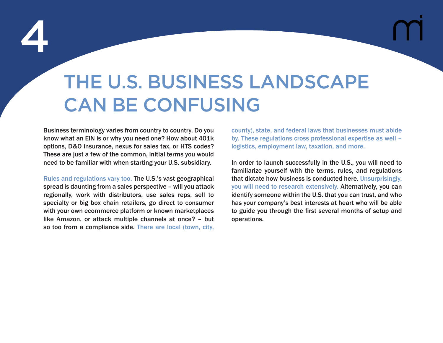## THE U.S. BUSINESS LANDSCAPE CAN BE CONFUSING

Business terminology varies from country to country. Do you know what an EIN is or why you need one? How about 401k options, D&O insurance, nexus for sales tax, or HTS codes? These are just a few of the common, initial terms you would need to be familiar with when starting your U.S. subsidiary.

Rules and regulations vary too. The U.S.'s vast geographical spread is daunting from a sales perspective – will you attack regionally, work with distributors, use sales reps, sell to specialty or big box chain retailers, go direct to consumer with your own ecommerce platform or known marketplaces like Amazon, or attack multiple channels at once? – but so too from a compliance side. There are local (town, city,

county), state, and federal laws that businesses must abide by. These regulations cross professional expertise as well – logistics, employment law, taxation, and more.

In order to launch successfully in the U.S., you will need to familiarize yourself with the terms, rules, and regulations that dictate how business is conducted here. Unsurprisingly, you will need to research extensively. Alternatively, you can identify someone within the U.S. that you can trust, and who has your company's best interests at heart who will be able to guide you through the first several months of setup and operations.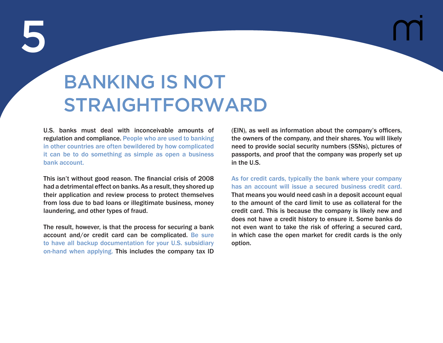### BANKING IS NOT STRAIGHTFORWARD

U.S. banks must deal with inconceivable amounts of regulation and compliance. People who are used to banking in other countries are often bewildered by how complicated it can be to do something as simple as open a business bank account.

This isn't without good reason. The financial crisis of 2008 had a detrimental effect on banks. As a result, they shored up their application and review process to protect themselves from loss due to bad loans or illegitimate business, money laundering, and other types of fraud.

The result, however, is that the process for securing a bank account and/or credit card can be complicated. Be sure to have all backup documentation for your U.S. subsidiary on-hand when applying. This includes the company tax ID

(EIN), as well as information about the company's officers, the owners of the company, and their shares. You will likely need to provide social security numbers (SSNs), pictures of passports, and proof that the company was properly set up in the U.S.

As for credit cards, typically the bank where your company has an account will issue a secured business credit card. That means you would need cash in a deposit account equal to the amount of the card limit to use as collateral for the credit card. This is because the company is likely new and does not have a credit history to ensure it. Some banks do not even want to take the risk of offering a secured card, in which case the open market for credit cards is the only option.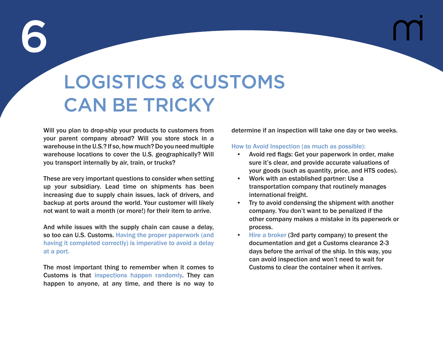### LOGISTICS & CUSTOMS CAN BE TRICKY

Will you plan to drop-ship your products to customers from your parent company abroad? Will you store stock in a warehouse in the U.S.? If so, how much? Do you need multiple warehouse locations to cover the U.S. geographically? Will you transport internally by air, train, or trucks?

These are very important questions to consider when setting up your subsidiary. Lead time on shipments has been increasing due to supply chain issues, lack of drivers, and backup at ports around the world. Your customer will likely not want to wait a month (or more!) for their item to arrive.

And while issues with the supply chain can cause a delay, so too can U.S. Customs. Having the proper paperwork (and having it completed correctly) is imperative to avoid a delay at a port.

The most important thing to remember when it comes to Customs is that inspections happen randomly. They can happen to anyone, at any time, and there is no way to determine if an inspection will take one day or two weeks.

#### How to Avoid Inspection (as much as possible):

- Avoid red flags: Get your paperwork in order, make sure it's clear, and provide accurate valuations of your goods (such as quantity, price, and HTS codes).
- Work with an established partner: Use a transportation company that routinely manages international freight.
- Try to avoid condensing the shipment with another company. You don't want to be penalized if the other company makes a mistake in its paperwork or process.
- Hire a broker (3rd party company) to present the documentation and get a Customs clearance 2-3 days before the arrival of the ship. In this way, you can avoid inspection and won't need to wait for Customs to clear the container when it arrives.